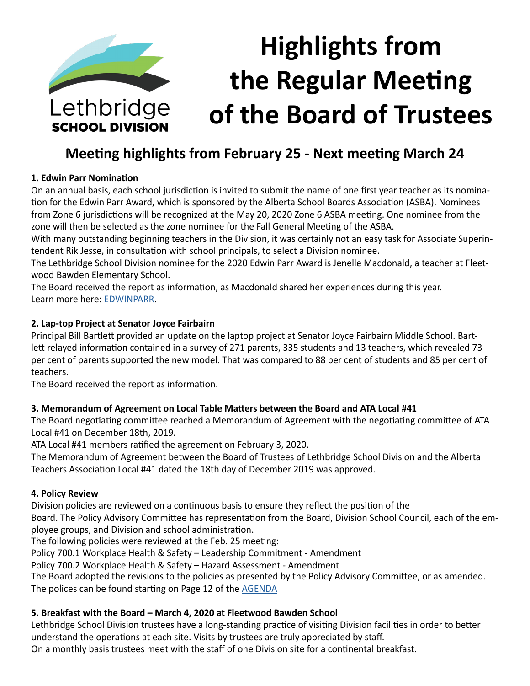## **Highlights from the Regular Meeting**  Lethbridge **of the Board of Trustees SCHOOL DIVISION**

### **Meeting highlights from February 25 - Next meeting March 24**

#### **1. Edwin Parr Nomination**

On an annual basis, each school jurisdiction is invited to submit the name of one first year teacher as its nomination for the Edwin Parr Award, which is sponsored by the Alberta School Boards Association (ASBA). Nominees from Zone 6 jurisdictions will be recognized at the May 20, 2020 Zone 6 ASBA meeting. One nominee from the zone will then be selected as the zone nominee for the Fall General Meeting of the ASBA.

With many outstanding beginning teachers in the Division, it was certainly not an easy task for Associate Superintendent Rik Jesse, in consultation with school principals, to select a Division nominee.

The Lethbridge School Division nominee for the 2020 Edwin Parr Award is Jenelle Macdonald, a teacher at Fleetwood Bawden Elementary School.

The Board received the report as information, as Macdonald shared her experiences during this year. Learn more here: [EDWINPARR](https://www.lethsd.ab.ca/our-district/news/post/division-selects-its-edwin-parr-award-nominee-for-2019-2020-school-year).

#### **2. Lap-top Project at Senator Joyce Fairbairn**

Principal Bill Bartlett provided an update on the laptop project at Senator Joyce Fairbairn Middle School. Bartlett relayed information contained in a survey of 271 parents, 335 students and 13 teachers, which revealed 73 per cent of parents supported the new model. That was compared to 88 per cent of students and 85 per cent of teachers.

The Board received the report as information.

#### **3. Memorandum of Agreement on Local Table Matters between the Board and ATA Local #41**

The Board negotiating committee reached a Memorandum of Agreement with the negotiating committee of ATA Local #41 on December 18th, 2019.

ATA Local #41 members ratified the agreement on February 3, 2020.

The Memorandum of Agreement between the Board of Trustees of Lethbridge School Division and the Alberta Teachers Association Local #41 dated the 18th day of December 2019 was approved.

#### **4. Policy Review**

Division policies are reviewed on a continuous basis to ensure they reflect the position of the

Board. The Policy Advisory Committee has representation from the Board, Division School Council, each of the employee groups, and Division and school administration.

The following policies were reviewed at the Feb. 25 meeting:

Policy 700.1 Workplace Health & Safety – Leadership Commitment - Amendment

Policy 700.2 Workplace Health & Safety – Hazard Assessment - Amendment

The Board adopted the revisions to the policies as presented by the Policy Advisory Committee, or as amended. The polices can be found starting on Page 12 of the [AGENDA](https://www.lethsd.ab.ca/download/234658)

#### **5. Breakfast with the Board – March 4, 2020 at Fleetwood Bawden School**

Lethbridge School Division trustees have a long-standing practice of visiting Division facilities in order to better understand the operations at each site. Visits by trustees are truly appreciated by staff.

On a monthly basis trustees meet with the staff of one Division site for a continental breakfast.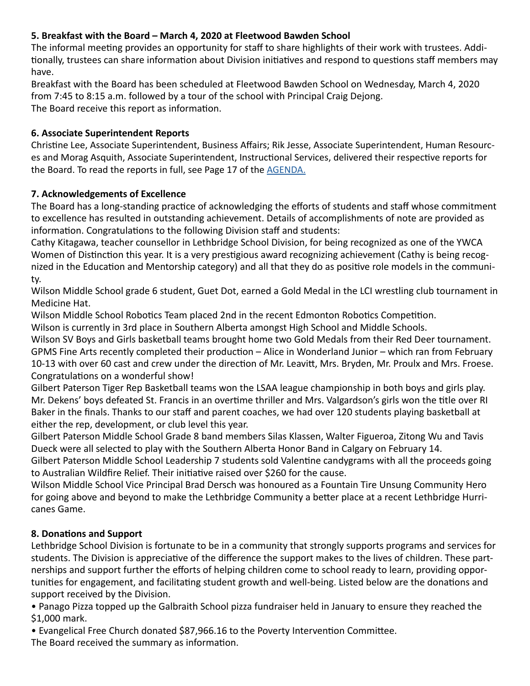#### **5. Breakfast with the Board – March 4, 2020 at Fleetwood Bawden School**

The informal meeting provides an opportunity for staff to share highlights of their work with trustees. Additionally, trustees can share information about Division initiatives and respond to questions staff members may have.

Breakfast with the Board has been scheduled at Fleetwood Bawden School on Wednesday, March 4, 2020 from 7:45 to 8:15 a.m. followed by a tour of the school with Principal Craig Dejong. The Board receive this report as information.

#### **6. Associate Superintendent Reports**

Christine Lee, Associate Superintendent, Business Affairs; Rik Jesse, Associate Superintendent, Human Resources and Morag Asquith, Associate Superintendent, Instructional Services, delivered their respective reports for the Board. To read the reports in full, see Page 17 of the [AGENDA](https://www.lethsd.ab.ca/download/234658).

#### **7. Acknowledgements of Excellence**

The Board has a long-standing practice of acknowledging the efforts of students and staff whose commitment to excellence has resulted in outstanding achievement. Details of accomplishments of note are provided as information. Congratulations to the following Division staff and students:

Cathy Kitagawa, teacher counsellor in Lethbridge School Division, for being recognized as one of the YWCA Women of Distinction this year. It is a very prestigious award recognizing achievement (Cathy is being recognized in the Education and Mentorship category) and all that they do as positive role models in the community.

Wilson Middle School grade 6 student, Guet Dot, earned a Gold Medal in the LCI wrestling club tournament in Medicine Hat.

Wilson Middle School Robotics Team placed 2nd in the recent Edmonton Robotics Competition.

Wilson is currently in 3rd place in Southern Alberta amongst High School and Middle Schools.

Wilson SV Boys and Girls basketball teams brought home two Gold Medals from their Red Deer tournament. GPMS Fine Arts recently completed their production – Alice in Wonderland Junior – which ran from February 10-13 with over 60 cast and crew under the direction of Mr. Leavitt, Mrs. Bryden, Mr. Proulx and Mrs. Froese. Congratulations on a wonderful show!

Gilbert Paterson Tiger Rep Basketball teams won the LSAA league championship in both boys and girls play. Mr. Dekens' boys defeated St. Francis in an overtime thriller and Mrs. Valgardson's girls won the title over RI Baker in the finals. Thanks to our staff and parent coaches, we had over 120 students playing basketball at either the rep, development, or club level this year.

Gilbert Paterson Middle School Grade 8 band members Silas Klassen, Walter Figueroa, Zitong Wu and Tavis Dueck were all selected to play with the Southern Alberta Honor Band in Calgary on February 14.

Gilbert Paterson Middle School Leadership 7 students sold Valentine candygrams with all the proceeds going to Australian Wildfire Relief. Their initiative raised over \$260 for the cause.

Wilson Middle School Vice Principal Brad Dersch was honoured as a Fountain Tire Unsung Community Hero for going above and beyond to make the Lethbridge Community a better place at a recent Lethbridge Hurricanes Game.

#### **8. Donations and Support**

Lethbridge School Division is fortunate to be in a community that strongly supports programs and services for students. The Division is appreciative of the difference the support makes to the lives of children. These partnerships and support further the efforts of helping children come to school ready to learn, providing opportunities for engagement, and facilitating student growth and well-being. Listed below are the donations and support received by the Division.

• Panago Pizza topped up the Galbraith School pizza fundraiser held in January to ensure they reached the \$1,000 mark.

• Evangelical Free Church donated \$87,966.16 to the Poverty Intervention Committee.

The Board received the summary as information.